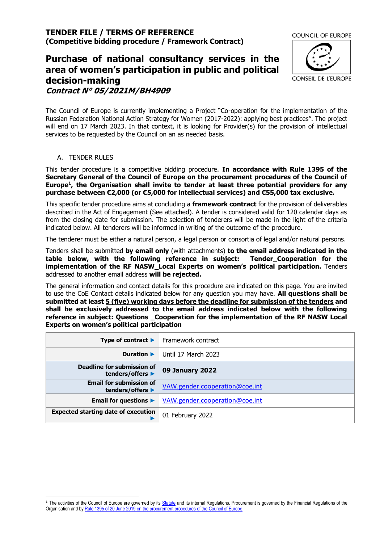# **Purchase of national consultancy services in the area of women's participation in public and political decision-making Contract N° 05/2021M/BH4909**



The Council of Europe is currently implementing a Project "Co-operation for the implementation of the Russian Federation National Action Strategy for Women (2017-2022): applying best practices". The project will end on 17 March 2023. In that context, it is looking for Provider(s) for the provision of intellectual services to be requested by the Council on an as needed basis.

## A. TENDER RULES

This tender procedure is a competitive bidding procedure. **In accordance with Rule 1395 of the Secretary General of the Council of Europe on the procurement procedures of the Council of Europe<sup>1</sup> , the Organisation shall invite to tender at least three potential providers for any purchase between €2,000 (or €5,000 for intellectual services) and €55,000 tax exclusive.**

This specific tender procedure aims at concluding a **framework contract** for the provision of deliverables described in the Act of Engagement (See attached). A tender is considered valid for 120 calendar days as from the closing date for submission. The selection of tenderers will be made in the light of the criteria indicated below. All tenderers will be informed in writing of the outcome of the procedure.

The tenderer must be either a natural person, a legal person or consortia of legal and/or natural persons.

Tenders shall be submitted **by email only** (with attachments) **to the email address indicated in the table below, with the following reference in subject: Tender\_Cooperation for the implementation of the RF NASW\_Local Experts on women's political participation.** Tenders addressed to another email address **will be rejected.**

The general information and contact details for this procedure are indicated on this page. You are invited to use the CoE Contact details indicated below for any question you may have. **All questions shall be submitted at least 5 (five) working days before the deadline for submission of the tenders and shall be exclusively addressed to the email address indicated below with the following reference in subject: Questions \_Cooperation for the implementation of the RF NASW Local Experts on women's political participation**

| Type of contract $\blacktriangleright$             | Framework contract             |
|----------------------------------------------------|--------------------------------|
| Duration $\blacktriangleright$                     | Until 17 March 2023            |
| Deadline for submission of<br>tenders/offers ▶     | <b>09 January 2022</b>         |
| <b>Email for submission of</b><br>tenders/offers ▶ | VAW.gender.cooperation@coe.int |
| Email for questions $\blacktriangleright$          | VAW.gender.cooperation@coe.int |
| <b>Expected starting date of execution</b>         | 01 February 2022               |

<sup>&</sup>lt;sup>1</sup> The activities of the Council of Europe are governed by it[s Statute](https://rm.coe.int/CoERMPublicCommonSearchServices/DisplayDCTMContent?documentId=0900001680306052) and its internal Regulations. Procurement is governed by the Financial Regulations of the Organisation and by Rule 1395 of 20 June 2019 [on the procurement procedures of the Council of Europe.](https://search.coe.int/intranet/Pages/result_details.aspx?ObjectId=090000168094853e)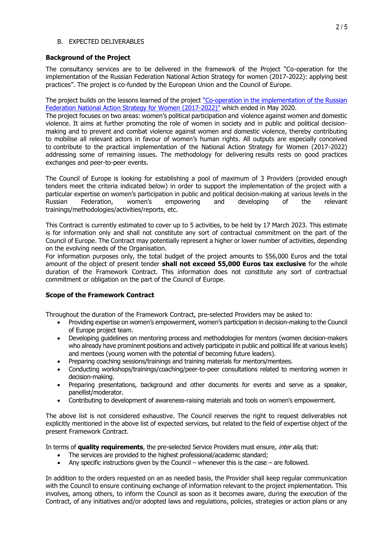## B. EXPECTED DELIVERABLES

## **Background of the Project**

The consultancy services are to be delivered in the framework of the Project "Co-operation for the implementation of the Russian Federation National Action Strategy for women (2017-2022): applying best practices". The project is co-funded by the European Union and the Council of Europe.

The project builds on the lessons learned of the project "Co-operation in the implementation of the Russian [Federation National Action Strategy for Women \(2017-2022\)](https://www.coe.int/en/web/genderequality/russian-federation-national-action-strategy-for-women-2017-2022-)" which ended in May 2020.

The project focuses on two areas: women's political participation and violence against women and domestic violence. It aims at further promoting the role of women in society and in public and political decisionmaking and to prevent and combat violence against women and domestic violence, thereby contributing to mobilise all relevant actors in favour of women's human rights. All outputs are especially conceived to contribute to the practical implementation of the National Action Strategy for Women (2017-2022) addressing some of remaining issues. The methodology for delivering results rests on good practices exchanges and peer-to-peer events.

The Council of Europe is looking for establishing a pool of maximum of 3 Providers (provided enough tenders meet the criteria indicated below) in order to support the implementation of the project with a particular expertise on women's participation in public and political decision-making at various levels in the Russian Federation, women's empowering and developing of the relevant trainings/methodologies/activities/reports, etc.

This Contract is currently estimated to cover up to 5 activities, to be held by 17 March 2023. This estimate is for information only and shall not constitute any sort of contractual commitment on the part of the Council of Europe. The Contract may potentially represent a higher or lower number of activities, depending on the evolving needs of the Organisation.

For information purposes only, the total budget of the project amounts to 556,000 Euros and the total amount of the object of present tender **shall not exceed 55,000 Euros tax exclusive** for the whole duration of the Framework Contract. This information does not constitute any sort of contractual commitment or obligation on the part of the Council of Europe.

# **Scope of the Framework Contract**

Throughout the duration of the Framework Contract, pre-selected Providers may be asked to:

- Providing expertise on women's empowerment, women's participation in decision-making to the Council of Europe project team.
- Developing guidelines on mentoring process and methodologies for mentors (women decision-makers who already have prominent positions and actively participate in public and political life at various levels) and mentees (young women with the potential of becoming future leaders).
- Preparing coaching sessions/trainings and training materials for mentors/mentees.
- Conducting workshops/trainings/coaching/peer-to-peer consultations related to mentoring women in decision-making.
- Preparing presentations, background and other documents for events and serve as a speaker, panellist/moderator.
- Contributing to development of awareness-raising materials and tools on women's empowerment.

The above list is not considered exhaustive. The Council reserves the right to request deliverables not explicitly mentioned in the above list of expected services, but related to the field of expertise object of the present Framework Contract.

In terms of **quality requirements**, the pre-selected Service Providers must ensure, inter alia, that:

- The services are provided to the highest professional/academic standard;
- Any specific instructions given by the Council whenever this is the case are followed.

In addition to the orders requested on an as needed basis, the Provider shall keep regular communication with the Council to ensure continuing exchange of information relevant to the project implementation. This involves, among others, to inform the Council as soon as it becomes aware, during the execution of the Contract, of any initiatives and/or adopted laws and regulations, policies, strategies or action plans or any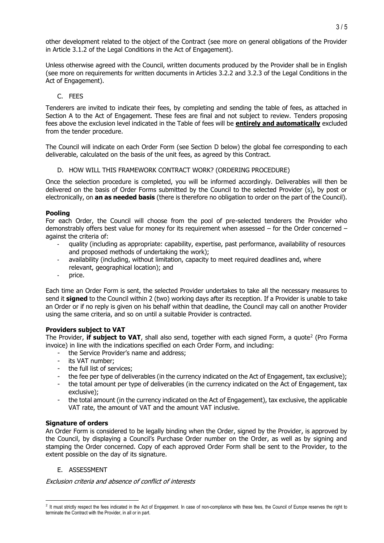other development related to the object of the Contract (see more on general obligations of the Provider in Article 3.1.2 of the Legal Conditions in the Act of Engagement).

Unless otherwise agreed with the Council, written documents produced by the Provider shall be in English (see more on requirements for written documents in Articles 3.2.2 and 3.2.3 of the Legal Conditions in the Act of Engagement).

## C. FEES

Tenderers are invited to indicate their fees, by completing and sending the table of fees, as attached in Section A to the Act of Engagement. These fees are final and not subject to review. Tenders proposing fees above the exclusion level indicated in the Table of fees will be **entirely and automatically** excluded from the tender procedure.

The Council will indicate on each Order Form (see Section [D](#page-2-0) below) the global fee corresponding to each deliverable, calculated on the basis of the unit fees, as agreed by this Contract.

#### D. HOW WILL THIS FRAMEWORK CONTRACT WORK? (ORDERING PROCEDURE)

<span id="page-2-0"></span>Once the selection procedure is completed, you will be informed accordingly. Deliverables will then be delivered on the basis of Order Forms submitted by the Council to the selected Provider (s), by post or electronically, on **an as needed basis** (there is therefore no obligation to order on the part of the Council).

#### **Pooling**

For each Order, the Council will choose from the pool of pre-selected tenderers the Provider who demonstrably offers best value for money for its requirement when assessed – for the Order concerned – against the criteria of:

- quality (including as appropriate: capability, expertise, past performance, availability of resources and proposed methods of undertaking the work);
- availability (including, without limitation, capacity to meet required deadlines and, where relevant, geographical location); and
- price.

Each time an Order Form is sent, the selected Provider undertakes to take all the necessary measures to send it **signed** to the Council within 2 (two) working days after its reception. If a Provider is unable to take an Order or if no reply is given on his behalf within that deadline, the Council may call on another Provider using the same criteria, and so on until a suitable Provider is contracted.

## **Providers subject to VAT**

The Provider, **if subject to VAT**, shall also send, together with each signed Form, a quote<sup>2</sup> (Pro Forma invoice) in line with the indications specified on each Order Form, and including:

- the Service Provider's name and address;
- its VAT number;
- the full list of services;
- the fee per type of deliverables (in the currency indicated on the Act of Engagement, tax exclusive);
- the total amount per type of deliverables (in the currency indicated on the Act of Engagement, tax exclusive);
- the total amount (in the currency indicated on the Act of Engagement), tax exclusive, the applicable VAT rate, the amount of VAT and the amount VAT inclusive.

## **Signature of orders**

An Order Form is considered to be legally binding when the Order, signed by the Provider, is approved by the Council, by displaying a Council's Purchase Order number on the Order, as well as by signing and stamping the Order concerned. Copy of each approved Order Form shall be sent to the Provider, to the extent possible on the day of its signature.

## E. ASSESSMENT

Exclusion criteria and absence of conflict of interests

<sup>&</sup>lt;sup>2</sup> It must strictly respect the fees indicated in the Act of Engagement. In case of non-compliance with these fees, the Council of Europe reserves the right to terminate the Contract with the Provider, in all or in part.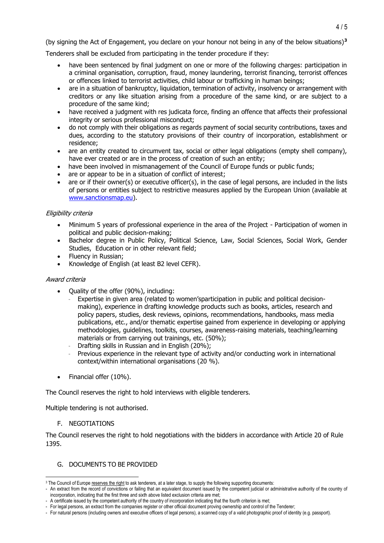(by signing the Act of Engagement, you declare on your honour not being in any of the below situations)**<sup>3</sup>**

Tenderers shall be excluded from participating in the tender procedure if they:

- have been sentenced by final judgment on one or more of the following charges: participation in a criminal organisation, corruption, fraud, money laundering, terrorist financing, terrorist offences or offences linked to terrorist activities, child labour or trafficking in human beings;
- are in a situation of bankruptcy, liquidation, termination of activity, insolvency or arrangement with creditors or any like situation arising from a procedure of the same kind, or are subject to a procedure of the same kind;
- have received a judgment with res judicata force, finding an offence that affects their professional integrity or serious professional misconduct;
- do not comply with their obligations as regards payment of social security contributions, taxes and dues, according to the statutory provisions of their country of incorporation, establishment or residence;
- are an entity created to circumvent tax, social or other legal obligations (empty shell company), have ever created or are in the process of creation of such an entity;
- have been involved in mismanagement of the Council of Europe funds or public funds;
- are or appear to be in a situation of conflict of interest;
- are or if their owner(s) or executive officer(s), in the case of legal persons, are included in the lists of persons or entities subject to restrictive measures applied by the European Union (available at [www.sanctionsmap.eu\)](http://www.sanctionsmap.eu/).

## Eligibility criteria

- Minimum 5 years of professional experience in the area of the Project Participation of women in political and public decision-making;
- Bachelor degree in Public Policy, Political Science, Law, Social Sciences, Social Work, Gender Studies, Education or in other relevant field;
- Fluency in Russian;
- Knowledge of English (at least B2 level CEFR).

## Award criteria

- Quality of the offer (90%), including:
	- Expertise in given area (related to women'sparticipation in public and political decisionmaking), experience in drafting knowledge products such as books, articles, research and policy papers, studies, desk reviews, opinions, recommendations, handbooks, mass media publications, etc., and/or thematic expertise gained from experience in developing or applying methodologies, guidelines, toolkits, courses, awareness-raising materials, teaching/learning materials or from carrying out trainings, etc. (50%);
	- Drafting skills in Russian and in English (20%);
	- Previous experience in the relevant type of activity and/or conducting work in international context/within international organisations (20 %).
- Financial offer (10%).

The Council reserves the right to hold interviews with eligible tenderers.

Multiple tendering is not authorised.

F. NEGOTIATIONS

The Council reserves the right to hold negotiations with the bidders in accordance with Article 20 of Rule 1395.

# G. DOCUMENTS TO BE PROVIDED

<sup>&</sup>lt;sup>3</sup> The Council of Europe reserves the right to ask tenderers, at a later stage, to supply the following supporting documents:

<sup>-</sup> An extract from the record of convictions or failing that an equivalent document issued by the competent judicial or administrative authority of the country of incorporation, indicating that the first three and sixth above listed exclusion criteria are met;

<sup>-</sup> A certificate issued by the competent authority of the country of incorporation indicating that the fourth criterion is met;

<sup>-</sup> For legal persons, an extract from the companies register or other official document proving ownership and control of the Tenderer;

<sup>-</sup> For natural persons (including owners and executive officers of legal persons), a scanned copy of a valid photographic proof of identity (e.g. passport).